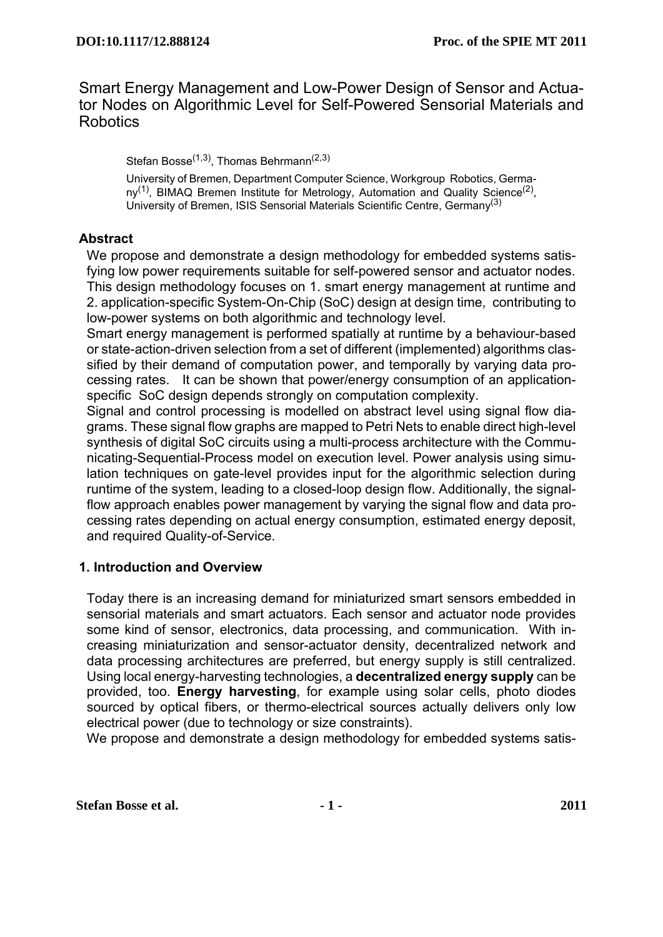# Smart Energy Management and Low-Power Design of Sensor and Actuator Nodes on Algorithmic Level for Self-Powered Sensorial Materials and **Robotics**

Stefan Bosse<sup>(1,3)</sup>, Thomas Behrmann<sup>(2,3)</sup>

University of Bremen, Department Computer Science, Workgroup Robotics, Germany<sup>(1)</sup>, BIMAQ Bremen Institute for Metrology, Automation and Quality Science<sup>(2)</sup>, University of Bremen, ISIS Sensorial Materials Scientific Centre, Germany<sup>(3)</sup>

## **Abstract**

We propose and demonstrate a design methodology for embedded systems satisfying low power requirements suitable for self-powered sensor and actuator nodes. This design methodology focuses on 1. smart energy management at runtime and 2. application-specific System-On-Chip (SoC) design at design time, contributing to low-power systems on both algorithmic and technology level.

Smart energy management is performed spatially at runtime by a behaviour-based or state-action-driven selection from a set of different (implemented) algorithms classified by their demand of computation power, and temporally by varying data processing rates. It can be shown that power/energy consumption of an applicationspecific SoC design depends strongly on computation complexity.

Signal and control processing is modelled on abstract level using signal flow diagrams. These signal flow graphs are mapped to Petri Nets to enable direct high-level synthesis of digital SoC circuits using a multi-process architecture with the Communicating-Sequential-Process model on execution level. Power analysis using simulation techniques on gate-level provides input for the algorithmic selection during runtime of the system, leading to a closed-loop design flow. Additionally, the signalflow approach enables power management by varying the signal flow and data processing rates depending on actual energy consumption, estimated energy deposit, and required Quality-of-Service.

## **1. Introduction and Overview**

Today there is an increasing demand for miniaturized smart sensors embedded in sensorial materials and smart actuators. Each sensor and actuator node provides some kind of sensor, electronics, data processing, and communication. With increasing miniaturization and sensor-actuator density, decentralized network and data processing architectures are preferred, but energy supply is still centralized. Using local energy-harvesting technologies, a **decentralized energy supply** can be provided, too. **Energy harvesting**, for example using solar cells, photo diodes sourced by optical fibers, or thermo-electrical sources actually delivers only low electrical power (due to technology or size constraints).

We propose and demonstrate a design methodology for embedded systems satis-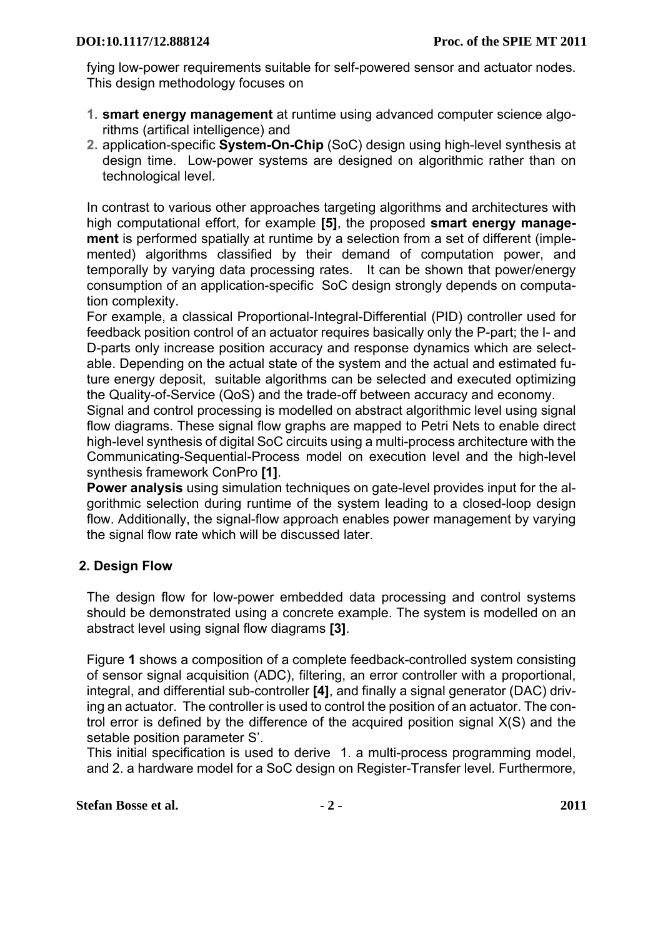fying low-power requirements suitable for self-powered sensor and actuator nodes. This design methodology focuses on

- **1. smart energy management** at runtime using advanced computer science algorithms (artifical intelligence) and
- **2.** application-specific **System-On-Chip** (SoC) design using high-level synthesis at design time. Low-power systems are designed on algorithmic rather than on technological level.

In contrast to various other approaches targeting algorithms and architectures with high computational effort, for example **[\[5\]](#page-10-3)**, the proposed **smart energy management** is performed spatially at runtime by a selection from a set of different (implemented) algorithms classified by their demand of computation power, and temporally by varying data processing rates. It can be shown that power/energy consumption of an application-specific SoC design strongly depends on computation complexity.

For example, a classical Proportional-Integral-Differential (PID) controller used for feedback position control of an actuator requires basically only the P-part; the I- and D-parts only increase position accuracy and response dynamics which are selectable. Depending on the actual state of the system and the actual and estimated future energy deposit, suitable algorithms can be selected and executed optimizing the Quality-of-Service (QoS) and the trade-off between accuracy and economy.

Signal and control processing is modelled on abstract algorithmic level using signal flow diagrams. These signal flow graphs are mapped to Petri Nets to enable direct high-level synthesis of digital SoC circuits using a multi-process architecture with the Communicating-Sequential-Process model on execution level and the high-level synthesis framework ConPro **[\[1\]](#page-10-0)**.

**Power analysis** using simulation techniques on gate-level provides input for the algorithmic selection during runtime of the system leading to a closed-loop design flow. Additionally, the signal-flow approach enables power management by varying the signal flow rate which will be discussed later.

# **2. Design Flow**

The design flow for low-power embedded data processing and control systems should be demonstrated using a concrete example. The system is modelled on an abstract level using signal flow diagrams **[\[3\]](#page-10-1)**.

Figure **[1](#page-2-0)** shows a composition of a complete feedback-controlled system consisting of sensor signal acquisition (ADC), filtering, an error controller with a proportional, integral, and differential sub-controller **[\[4\]](#page-10-2)**, and finally a signal generator (DAC) driving an actuator. The controller is used to control the position of an actuator. The control error is defined by the difference of the acquired position signal X(S) and the setable position parameter S'.

This initial specification is used to derive 1. a multi-process programming model, and 2. a hardware model for a SoC design on Register-Transfer level. Furthermore,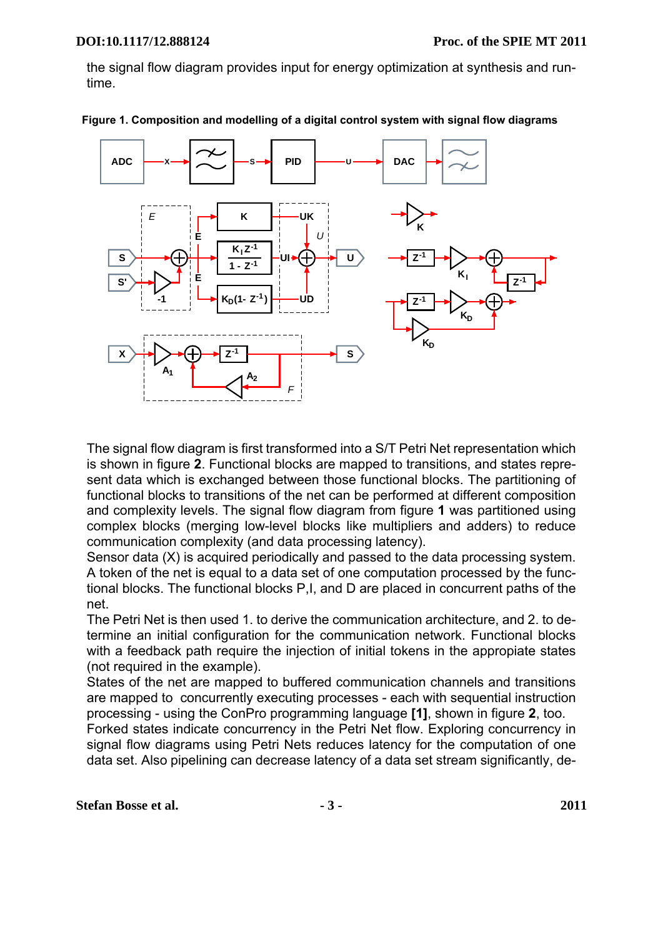the signal flow diagram provides input for energy optimization at synthesis and runtime.



<span id="page-2-0"></span> **Figure 1. Composition and modelling of a digital control system with signal flow diagrams**

The signal flow diagram is first transformed into a S/T Petri Net representation which is shown in figure **[2](#page-3-0)**. Functional blocks are mapped to transitions, and states represent data which is exchanged between those functional blocks. The partitioning of functional blocks to transitions of the net can be performed at different composition and complexity levels. The signal flow diagram from figure **[1](#page-2-0)** was partitioned using complex blocks (merging low-level blocks like multipliers and adders) to reduce communication complexity (and data processing latency).

Sensor data (X) is acquired periodically and passed to the data processing system. A token of the net is equal to a data set of one computation processed by the functional blocks. The functional blocks P,I, and D are placed in concurrent paths of the net.

The Petri Net is then used 1. to derive the communication architecture, and 2. to determine an initial configuration for the communication network. Functional blocks with a feedback path require the injection of initial tokens in the appropiate states (not required in the example).

States of the net are mapped to buffered communication channels and transitions are mapped to concurrently executing processes - each with sequential instruction processing - using the ConPro programming language **[\[1\]](#page-10-0)**, shown in figure **[2](#page-3-0)**, too.

Forked states indicate concurrency in the Petri Net flow. Exploring concurrency in signal flow diagrams using Petri Nets reduces latency for the computation of one data set. Also pipelining can decrease latency of a data set stream significantly, de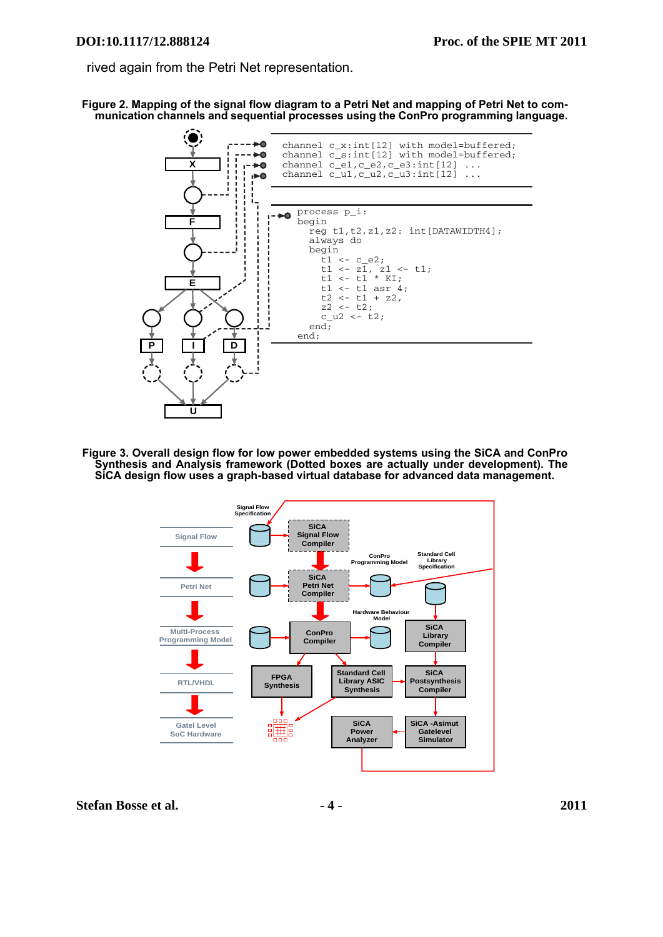rived again from the Petri Net representation.

<span id="page-3-0"></span> **Figure 2. Mapping of the signal flow diagram to a Petri Net and mapping of Petri Net to communication channels and sequential processes using the ConPro programming language.**



<span id="page-3-1"></span> **Figure 3. Overall design flow for low power embedded systems using the SiCA and ConPro Synthesis and Analysis framework (Dotted boxes are actually under development). The SiCA design flow uses a graph-based virtual database for advanced data management.**

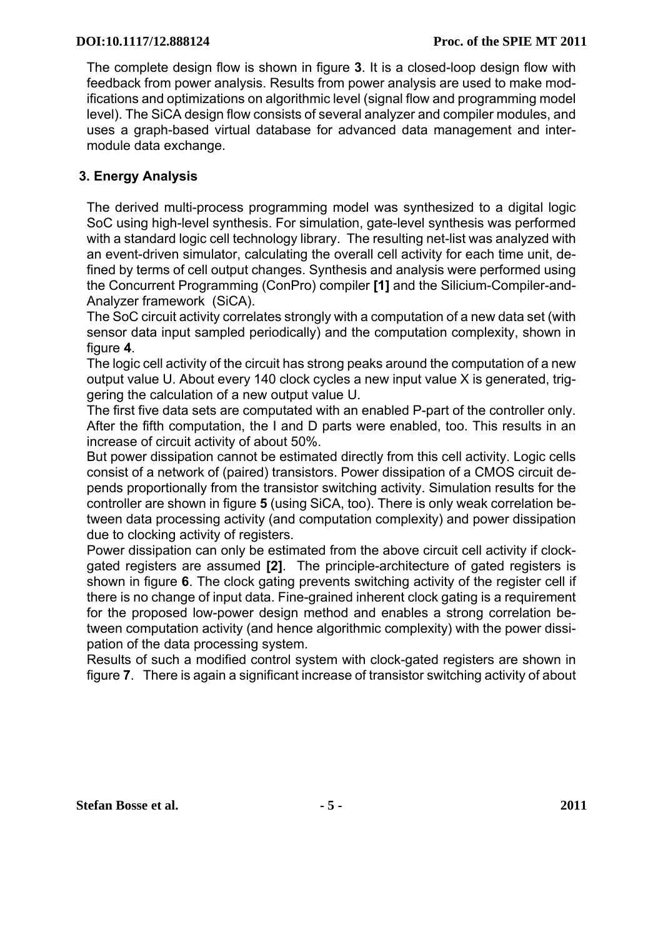The complete design flow is shown in figure **[3](#page-3-1)**. It is a closed-loop design flow with feedback from power analysis. Results from power analysis are used to make modifications and optimizations on algorithmic level (signal flow and programming model level). The SiCA design flow consists of several analyzer and compiler modules, and uses a graph-based virtual database for advanced data management and intermodule data exchange.

# **3. Energy Analysis**

The derived multi-process programming model was synthesized to a digital logic SoC using high-level synthesis. For simulation, gate-level synthesis was performed with a standard logic cell technology library. The resulting net-list was analyzed with an event-driven simulator, calculating the overall cell activity for each time unit, defined by terms of cell output changes. Synthesis and analysis were performed using the Concurrent Programming (ConPro) compiler **[\[1\]](#page-10-0)** and the Silicium-Compiler-and-Analyzer framework (SiCA).

The SoC circuit activity correlates strongly with a computation of a new data set (with sensor data input sampled periodically) and the computation complexity, shown in figure **[4](#page-5-0)**.

The logic cell activity of the circuit has strong peaks around the computation of a new output value U. About every 140 clock cycles a new input value X is generated, triggering the calculation of a new output value U.

The first five data sets are computated with an enabled P-part of the controller only. After the fifth computation, the I and D parts were enabled, too. This results in an increase of circuit activity of about 50%.

But power dissipation cannot be estimated directly from this cell activity. Logic cells consist of a network of (paired) transistors. Power dissipation of a CMOS circuit depends proportionally from the transistor switching activity. Simulation results for the controller are shown in figure **[5](#page-5-1)** (using SiCA, too). There is only weak correlation between data processing activity (and computation complexity) and power dissipation due to clocking activity of registers.

Power dissipation can only be estimated from the above circuit cell activity if clockgated registers are assumed **[\[2\]](#page-10-4)**[.](#page-10-4) The principle-architecture of gated registers is shown in figure **[6](#page-6-1)**. The clock gating prevents switching activity of the register cell if there is no change of input data. Fine-grained inherent clock gating is a requirement for the proposed low-power design method and enables a strong correlation between computation activity (and hence algorithmic complexity) with the power dissipation of the data processing system.

Results of such a modified control system with clock-gated registers are shown in figure **[7](#page-6-0)**. There is again a significant increase of transistor switching activity of about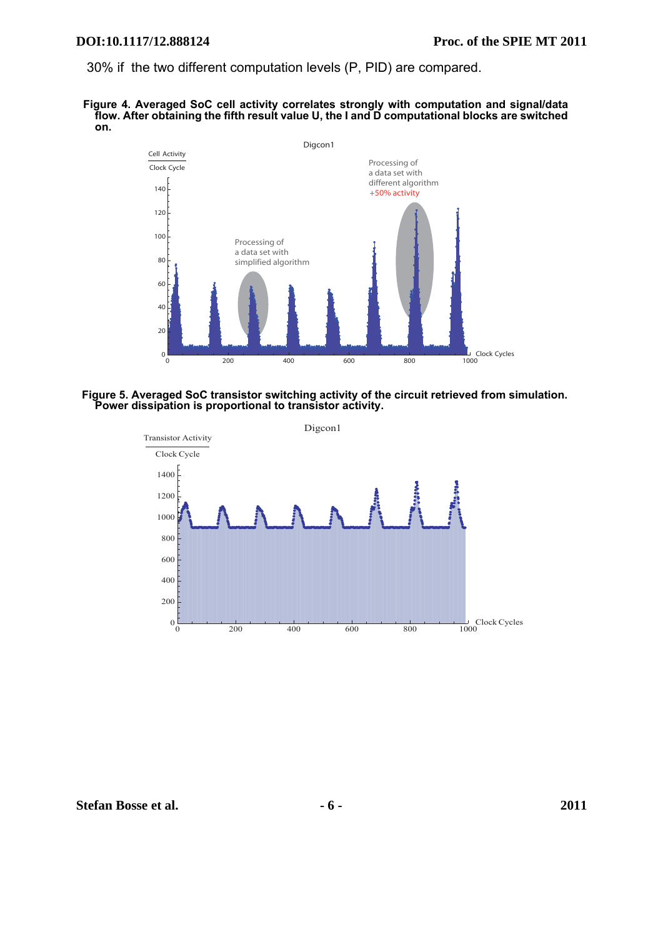30% if the two different computation levels (P, PID) are compared.

#### <span id="page-5-0"></span> **Figure 4. Averaged SoC cell activity correlates strongly with computation and signal/data flow. After obtaining the fifth result value U, the I and D computational blocks are switched on.**



#### <span id="page-5-1"></span> **Figure 5. Averaged SoC transistor switching activity of the circuit retrieved from simulation. Power dissipation is proportional to transistor activity.**

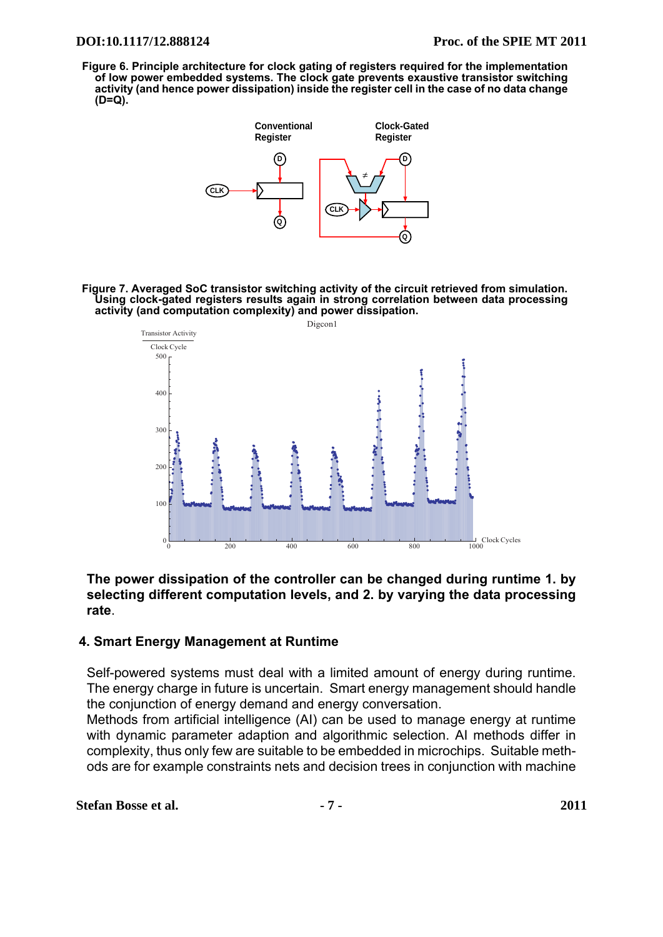<span id="page-6-1"></span> **Figure 6. Principle architecture for clock gating of registers required for the implementation of low power embedded systems. The clock gate prevents exaustive transistor switching activity (and hence power dissipation) inside the register cell in the case of no data change (D=Q).**



<span id="page-6-0"></span> **Figure 7. Averaged SoC transistor switching activity of the circuit retrieved from simulation. Using clock-gated registers results again in strong correlation between data processing activity (and computation complexity) and power dissipation.**



## **The power dissipation of the controller can be changed during runtime 1. by selecting different computation levels, and 2. by varying the data processing rate**.

## **4. Smart Energy Management at Runtime**

Self-powered systems must deal with a limited amount of energy during runtime. The energy charge in future is uncertain. Smart energy management should handle the conjunction of energy demand and energy conversation.

Methods from artificial intelligence (AI) can be used to manage energy at runtime with dynamic parameter adaption and algorithmic selection. AI methods differ in complexity, thus only few are suitable to be embedded in microchips. Suitable methods are for example constraints nets and decision trees in conjunction with machine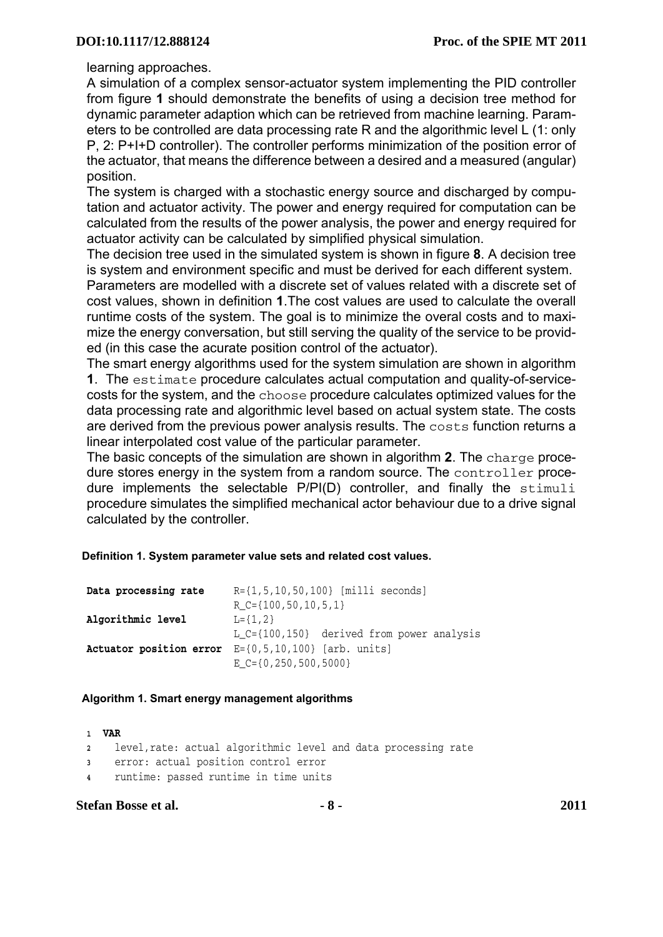learning approaches.

A simulation of a complex sensor-actuator system implementing the PID controller from figure **[1](#page-2-0)** should demonstrate the benefits of using a decision tree method for dynamic parameter adaption which can be retrieved from machine learning. Parameters to be controlled are data processing rate R and the algorithmic level L (1: only P, 2: P+I+D controller). The controller performs minimization of the position error of the actuator, that means the difference between a desired and a measured (angular) position.

The system is charged with a stochastic energy source and discharged by computation and actuator activity. The power and energy required for computation can be calculated from the results of the power analysis, the power and energy required for actuator activity can be calculated by simplified physical simulation.

The decision tree used in the simulated system is shown in figure **[8](#page-9-0)**. A decision tree is system and environment specific and must be derived for each different system.

Parameters are modelled with a discrete set of values related with a discrete set of cost values, shown in definition **[1](#page-7-0)**.The cost values are used to calculate the overall runtime costs of the system. The goal is to minimize the overal costs and to maximize the energy conversation, but still serving the quality of the service to be provided (in this case the acurate position control of the actuator).

The smart energy algorithms used for the system simulation are shown in algorithm **[1](#page-7-1)**. The estimate procedure calculates actual computation and quality-of-servicecosts for the system, and the choose procedure calculates optimized values for the data processing rate and algorithmic level based on actual system state. The costs are derived from the previous power analysis results. The costs function returns a linear interpolated cost value of the particular parameter.

The basic concepts of the simulation are shown in algorithm **[2](#page-8-0)**. The charge procedure stores energy in the system from a random source. The controller procedure implements the selectable P/PI(D) controller, and finally the stimuli procedure simulates the simplified mechanical actor behaviour due to a drive signal calculated by the controller.

#### <span id="page-7-0"></span> **Definition 1. System parameter value sets and related cost values.**

| Data processing rate | $R = \{1, 5, 10, 50, 100\}$ [milli seconds]                         |
|----------------------|---------------------------------------------------------------------|
|                      | $R_{C} = \{100, 50, 10, 5, 1\}$                                     |
| Algorithmic level    | $L = \{1, 2\}$                                                      |
|                      | L_C={100,150} derived from power analysis                           |
|                      | <b>Actuator position error</b> $E = \{0, 5, 10, 100\}$ [arb. units] |
|                      | $E_{C} = \{0, 250, 500, 5000\}$                                     |

#### <span id="page-7-1"></span> **Algorithm 1. Smart energy management algorithms**

| 1 VAR                                                            |
|------------------------------------------------------------------|
| 2 level, rate: actual algorithmic level and data processing rate |
| 3 error: actual position control error                           |
| 4 runtime: passed runtime in time units                          |

### **Stefan Bosse et al. - 8 - 2011**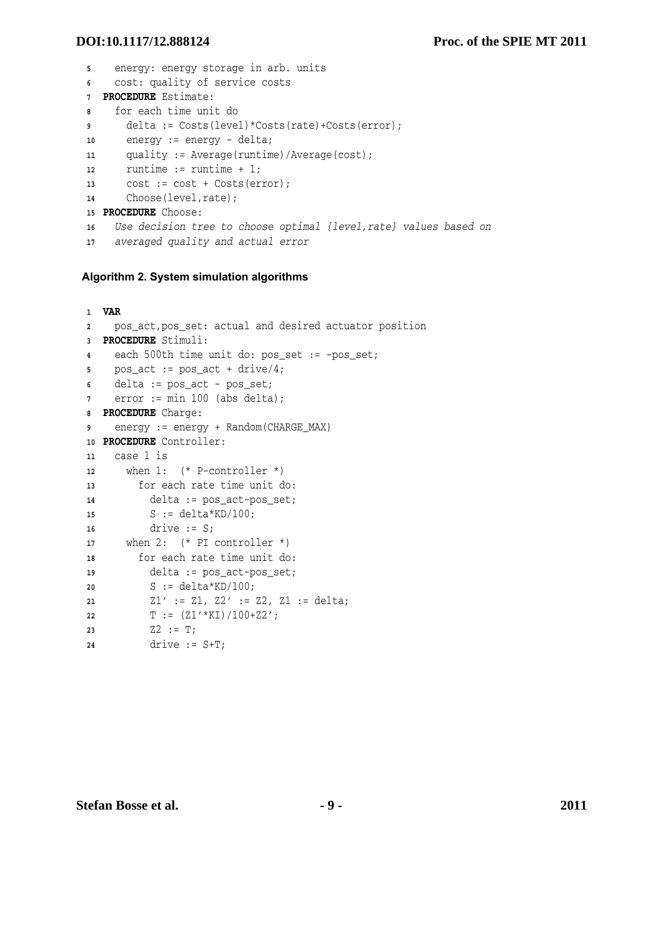```
5 energy: energy storage in arb. units
6 cost: quality of service costs
7 PROCEDURE Estimate:
8 for each time unit do
9 delta := Costs(level)*Costs(rate)+Costs(error);
10 energy := energy - delta;
11 quality := Average(runtime)/Average(cost);
12 runtime := runtime + 1;
13 cost := cost + Costs(error);
14 Choose(level,rate);
15 PROCEDURE Choose:
16 Use decision tree to choose optimal {level,rate} values based on
17 averaged quality and actual error
```
#### <span id="page-8-0"></span> **Algorithm 2. System simulation algorithms**

```
1 VAR
2 pos_act,pos_set: actual and desired actuator position
3 PROCEDURE Stimuli:
4 each 500th time unit do: pos_set := -pos_set;
5 pos_act := pos_act + drive/4;
6 delta := pos_act - pos_set;
7 error := min 100 (abs delta);
8 PROCEDURE Charge:
9 energy := energy + Random(CHARGE_MAX)
10 PROCEDURE Controller:
11 case l is
12 when 1: (* P-controller *)
13 for each rate time unit do: 
14 delta := pos_act-pos_set;
15 S := delta*KD/100;
16 drive := S;
17 when 2: (* PI controller *)
18 for each rate time unit do:
19 delta := pos_act-pos_set;
20 S := delta*KD/100;
21 Z1' := Z1, Z2' := Z2, Z1 := delta;
22 T := (Z1' * KT) / 100 + Z2';23 Z2 := T;
24 drive := S+T;
```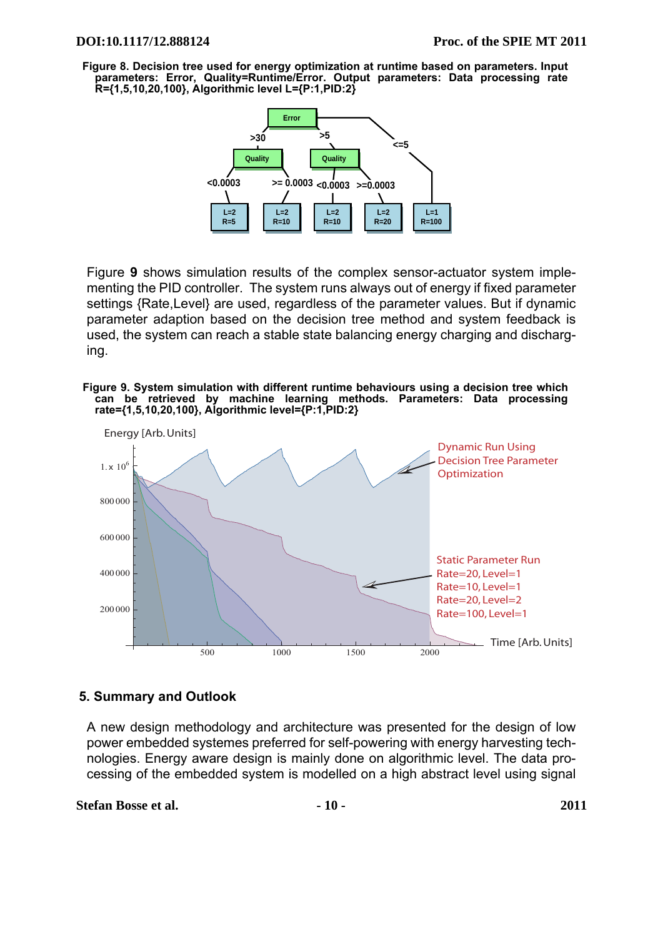<span id="page-9-0"></span> **Figure 8. Decision tree used for energy optimization at runtime based on parameters. Input parameters: Error, Quality=Runtime/Error. Output parameters: Data processing rate R={1,5,10,20,100}, Algorithmic level L={P:1,PID:2}**



Figure **[9](#page-9-1)** shows simulation results of the complex sensor-actuator system implementing the PID controller. The system runs always out of energy if fixed parameter settings {Rate,Level} are used, regardless of the parameter values. But if dynamic parameter adaption based on the decision tree method and system feedback is used, the system can reach a stable state balancing energy charging and discharging.

<span id="page-9-1"></span> **Figure 9. System simulation with different runtime behaviours using a decision tree which can be retrieved by machine learning methods. Parameters: Data processing rate={1,5,10,20,100}, Algorithmic level={P:1,PID:2}**



## **5. Summary and Outlook**

A new design methodology and architecture was presented for the design of low power embedded systemes preferred for self-powering with energy harvesting technologies. Energy aware design is mainly done on algorithmic level. The data processing of the embedded system is modelled on a high abstract level using signal